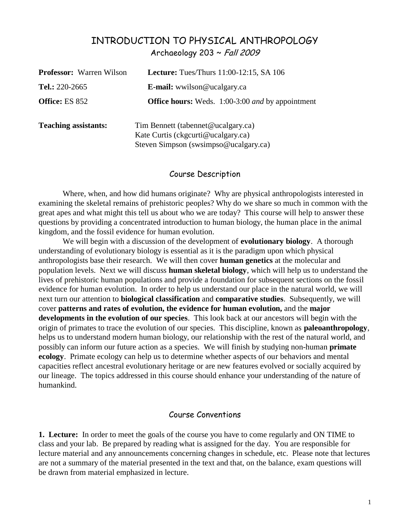# INTRODUCTION TO PHYSICAL ANTHROPOLOGY Archaeology 203 ~ Fall 2009

| <b>Professor:</b> Warren Wilson | <b>Lecture:</b> Tues/Thurs $11:00-12:15$ , SA $106$                                                               |  |  |
|---------------------------------|-------------------------------------------------------------------------------------------------------------------|--|--|
| Tel.: $220-2665$                | <b>E-mail:</b> wwilson@ucalgary.ca                                                                                |  |  |
| <b>Office: ES 852</b>           | <b>Office hours:</b> Weds. 1:00-3:00 and by appointment                                                           |  |  |
| <b>Teaching assistants:</b>     | Tim Bennett (tabennet@ucalgary.ca)<br>Kate Curtis (ckgcurti@ucalgary.ca)<br>Steven Simpson (swsimpso@ucalgary.ca) |  |  |

### Course Description

Where, when, and how did humans originate? Why are physical anthropologists interested in examining the skeletal remains of prehistoric peoples? Why do we share so much in common with the great apes and what might this tell us about who we are today? This course will help to answer these questions by providing a concentrated introduction to human biology, the human place in the animal kingdom, and the fossil evidence for human evolution.

We will begin with a discussion of the development of **evolutionary biology**. A thorough understanding of evolutionary biology is essential as it is the paradigm upon which physical anthropologists base their research. We will then cover **human genetics** at the molecular and population levels. Next we will discuss **human skeletal biology**, which will help us to understand the lives of prehistoric human populations and provide a foundation for subsequent sections on the fossil evidence for human evolution. In order to help us understand our place in the natural world, we will next turn our attention to **biological classification** and **comparative studies**. Subsequently, we will cover **patterns and rates of evolution, the evidence for human evolution,** and the **major developments in the evolution of our species**. This look back at our ancestors will begin with the origin of primates to trace the evolution of our species. This discipline, known as **paleoanthropology**, helps us to understand modern human biology, our relationship with the rest of the natural world, and possibly can inform our future action as a species. We will finish by studying non-human **primate ecology**. Primate ecology can help us to determine whether aspects of our behaviors and mental capacities reflect ancestral evolutionary heritage or are new features evolved or socially acquired by our lineage. The topics addressed in this course should enhance your understanding of the nature of humankind.

## Course Conventions

**1. Lecture:**In order to meet the goals of the course you have to come regularly and ON TIME to class and your lab. Be prepared by reading what is assigned for the day. You are responsible for lecture material and any announcements concerning changes in schedule, etc. Please note that lectures are not a summary of the material presented in the text and that, on the balance, exam questions will be drawn from material emphasized in lecture.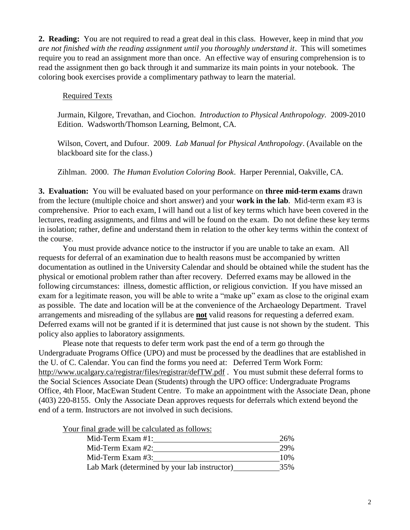**2. Reading:** You are not required to read a great deal in this class. However, keep in mind that *you are not finished with the reading assignment until you thoroughly understand it*. This will sometimes require you to read an assignment more than once. An effective way of ensuring comprehension is to read the assignment then go back through it and summarize its main points in your notebook. The coloring book exercises provide a complimentary pathway to learn the material.

### Required Texts

Jurmain, Kilgore, Trevathan, and Ciochon. *Introduction to Physical Anthropology.* 2009-2010 Edition. Wadsworth/Thomson Learning, Belmont, CA.

Wilson, Covert, and Dufour. 2009. *Lab Manual for Physical Anthropology*. (Available on the blackboard site for the class.)

Zihlman. 2000. *The Human Evolution Coloring Book*. Harper Perennial, Oakville, CA.

**3. Evaluation:** You will be evaluated based on your performance on **three mid-term exams** drawn from the lecture (multiple choice and short answer) and your **work in the lab**. Mid-term exam #3 is comprehensive. Prior to each exam, I will hand out a list of key terms which have been covered in the lectures, reading assignments, and films and will be found on the exam. Do not define these key terms in isolation; rather, define and understand them in relation to the other key terms within the context of the course.

You must provide advance notice to the instructor if you are unable to take an exam. All requests for deferral of an examination due to health reasons must be accompanied by written documentation as outlined in the University Calendar and should be obtained while the student has the physical or emotional problem rather than after recovery. Deferred exams may be allowed in the following circumstances: illness, domestic affliction, or religious conviction. If you have missed an exam for a legitimate reason, you will be able to write a "make up" exam as close to the original exam as possible. The date and location will be at the convenience of the Archaeology Department. Travel arrangements and misreading of the syllabus are **not** valid reasons for requesting a deferred exam. Deferred exams will not be granted if it is determined that just cause is not shown by the student. This policy also applies to laboratory assignments.

Please note that requests to defer term work past the end of a term go through the Undergraduate Programs Office (UPO) and must be processed by the deadlines that are established in the U. of C. Calendar. You can find the forms you need at: Deferred Term Work Form: http://www.ucalgary.ca/registrar/files/registrar/defTW.pdf . You must submit these deferral forms to the Social Sciences Associate Dean (Students) through the UPO office: Undergraduate Programs Office, 4th Floor, MacEwan Student Centre. To make an appointment with the Associate Dean, phone (403) 220-8155. Only the Associate Dean approves requests for deferrals which extend beyond the end of a term. Instructors are not involved in such decisions.

Your final grade will be calculated as follows:

| Mid-Term Exam #1:                            | 26% |
|----------------------------------------------|-----|
| Mid-Term Exam $#2$ :                         | 29% |
| Mid-Term Exam $#3$ :                         | 10% |
| Lab Mark (determined by your lab instructor) | 35% |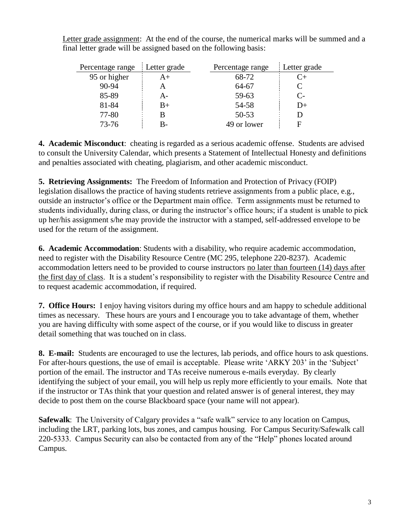| Percentage range | Letter grade | Percentage range | Letter grade |
|------------------|--------------|------------------|--------------|
| 95 or higher     | A+           | 68-72            |              |
| $90 - 94$        |              | 64-67            |              |
| 85-89            | A-           | 59-63            | $C_{\tau}$   |
| 81-84            | $B+$         | 54-58            | l)+          |
| 77-80            |              | 50-53            |              |
| $73 - 76$        | R-           | 49 or lower      | E            |

Letter grade assignment: At the end of the course, the numerical marks will be summed and a final letter grade will be assigned based on the following basis:

**4. Academic Misconduct**: cheating is regarded as a serious academic offense. Students are advised to consult the University Calendar, which presents a Statement of Intellectual Honesty and definitions and penalties associated with cheating, plagiarism, and other academic misconduct.

**5. Retrieving Assignments:** The Freedom of Information and Protection of Privacy (FOIP) legislation disallows the practice of having students retrieve assignments from a public place, e.g., outside an instructor"s office or the Department main office. Term assignments must be returned to students individually, during class, or during the instructor's office hours; if a student is unable to pick up her/his assignment s/he may provide the instructor with a stamped, self-addressed envelope to be used for the return of the assignment.

**6. Academic Accommodation**: Students with a disability, who require academic accommodation, need to register with the Disability Resource Centre (MC 295, telephone 220-8237). Academic accommodation letters need to be provided to course instructors no later than fourteen (14) days after the first day of class. It is a student"s responsibility to register with the Disability Resource Centre and to request academic accommodation, if required.

**7. Office Hours:**I enjoy having visitors during my office hours and am happy to schedule additional times as necessary. These hours are yours and I encourage you to take advantage of them, whether you are having difficulty with some aspect of the course, or if you would like to discuss in greater detail something that was touched on in class.

**8. E-mail:** Students are encouraged to use the lectures, lab periods, and office hours to ask questions. For after-hours questions, the use of email is acceptable. Please write 'ARKY 203' in the 'Subject' portion of the email. The instructor and TAs receive numerous e-mails everyday. By clearly identifying the subject of your email, you will help us reply more efficiently to your emails. Note that if the instructor or TAs think that your question and related answer is of general interest, they may decide to post them on the course Blackboard space (your name will not appear).

**Safewalk**: The University of Calgary provides a "safe walk" service to any location on Campus, including the LRT, parking lots, bus zones, and campus housing. For Campus Security/Safewalk call 220-5333. Campus Security can also be contacted from any of the "Help" phones located around Campus.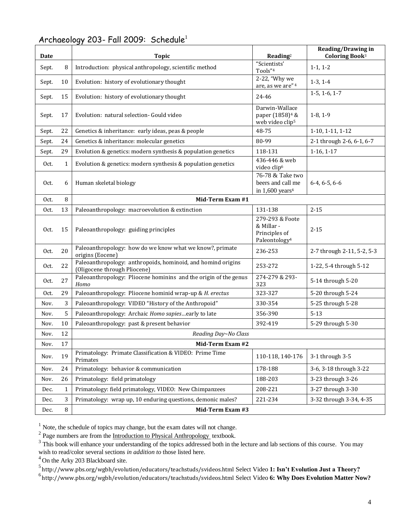| Date  |              | <b>Topic</b>                                                                                 | Reading <sup>2</sup>                                                         | <b>Reading/Drawing in</b><br>Coloring Book <sup>3</sup> |  |  |  |
|-------|--------------|----------------------------------------------------------------------------------------------|------------------------------------------------------------------------------|---------------------------------------------------------|--|--|--|
| Sept. | 8            | Introduction: physical anthropology, scientific method                                       | "Scientists'<br>Tools"4                                                      | $1-1, 1-2$                                              |  |  |  |
| Sept. | 10           | Evolution: history of evolutionary thought                                                   | 2-22, "Why we<br>are, as we are" <sup>4</sup>                                | $1-3, 1-4$                                              |  |  |  |
| Sept. | 15           | Evolution: history of evolutionary thought                                                   | 24-46                                                                        | $1-5, 1-6, 1-7$                                         |  |  |  |
| Sept. | 17           | Evolution: natural selection- Gould video                                                    | Darwin-Wallace<br>paper (1858) <sup>4</sup> &<br>web video clip <sup>5</sup> | $1-8, 1-9$                                              |  |  |  |
| Sept. | 22           | Genetics & inheritance: early ideas, peas & people                                           | 48-75                                                                        | 1-10, 1-11, 1-12                                        |  |  |  |
| Sept. | 24           | Genetics & inheritance: molecular genetics                                                   | 80-99                                                                        | 2-1 through 2-6, 6-1, 6-7                               |  |  |  |
| Sept. | 29           | Evolution & genetics: modern synthesis & population genetics                                 | 118-131                                                                      | $1-16, 1-17$                                            |  |  |  |
| Oct.  | $\mathbf{1}$ | Evolution & genetics: modern synthesis & population genetics                                 | 436-446 & web<br>video clip <sup>6</sup>                                     |                                                         |  |  |  |
| Oct.  | 6            | Human skeletal biology                                                                       | 76-78 & Take two<br>beers and call me<br>in $1,600$ years <sup>4</sup>       | $6-4, 6-5, 6-6$                                         |  |  |  |
| Oct.  | $\, 8$       | Mid-Term Exam #1                                                                             |                                                                              |                                                         |  |  |  |
| Oct.  | 13           | Paleoanthropology: macroevolution & extinction                                               | 131-138                                                                      | $2 - 15$                                                |  |  |  |
| Oct.  | 15           | Paleoanthropology: guiding principles                                                        | 279-293 & Foote<br>& Millar -<br>Principles of<br>Paleontology <sup>4</sup>  | $2 - 15$                                                |  |  |  |
| Oct.  | 20           | Paleoanthropology: how do we know what we know?, primate<br>origins (Eocene)                 | 236-253                                                                      | 2-7 through 2-11, 5-2, 5-3                              |  |  |  |
| Oct.  | 22           | Paleoanthropology: anthropoids, hominoid, and homind origins<br>(Oligocene through Pliocene) | 253-272                                                                      | 1-22, 5-4 through 5-12                                  |  |  |  |
| Oct.  | 27           | Paleoanthropology: Pliocene hominins and the origin of the genus<br>Homo                     | 274-279 & 293-<br>323                                                        | 5-14 through 5-20                                       |  |  |  |
| Oct.  | 29           | Paleoanthropology: Pliocene hominid wrap-up & H. erectus                                     | 323-327                                                                      | 5-20 through 5-24                                       |  |  |  |
| Nov.  | 3            | Paleoanthropology: VIDEO "History of the Anthropoid"                                         | 330-354                                                                      | 5-25 through 5-28                                       |  |  |  |
| Nov.  | 5            | Paleoanthropology: Archaic Homo sapiesearly to late                                          | 356-390                                                                      | $5 - 13$                                                |  |  |  |
| Nov.  | 10           | Paleoanthropology: past & present behavior                                                   | 392-419                                                                      | 5-29 through 5-30                                       |  |  |  |
| Nov.  | 12           | Reading Day~No Class                                                                         |                                                                              |                                                         |  |  |  |
| Nov.  | $17\,$       | Mid-Term Exam #2                                                                             |                                                                              |                                                         |  |  |  |
| Nov.  | 19           | Primatology: Primate Classification & VIDEO: Prime Time<br>Primates                          | 110-118, 140-176                                                             | 3-1 through 3-5                                         |  |  |  |
| Nov.  | 24           | Primatology: behavior & communication                                                        | 178-188                                                                      | 3-6, 3-18 through 3-22                                  |  |  |  |
| Nov.  | 26           | Primatology: field primatology                                                               | 188-203                                                                      | 3-23 through 3-26                                       |  |  |  |
| Dec.  | 1            | Primatology: field primatology, VIDEO: New Chimpanzees                                       | 208-221                                                                      | 3-27 through 3-30                                       |  |  |  |
| Dec.  | 3            | Primatology: wrap up, 10 enduring questions, demonic males?                                  | 221-234                                                                      | 3-32 through 3-34, 4-35                                 |  |  |  |
| Dec.  | $\, 8$       | Mid-Term Exam #3                                                                             |                                                                              |                                                         |  |  |  |

## Archaeology 203- Fall 2009: Schedule<sup>1</sup>

<sup>1</sup> Note, the schedule of topics may change, but the exam dates will not change.<br><sup>2</sup> Page numbers are from the <u>Introduction to Physical Anthropology</u> textbook.

 $4$  On the Arky 203 Blackboard site.

5 http://www.pbs.org/wgbh/evolution/educators/teachstuds/svideos.html Select Video **1: Isn't Evolution Just a Theory?**

6 http://www.pbs.org/wgbh/evolution/educators/teachstuds/svideos.html Select Video **6: Why Does Evolution Matter Now?**

 $3$  This book will enhance your understanding of the topics addressed both in the lecture and lab sections of this course. You may wish to read/color several sections *in addition to* those listed here.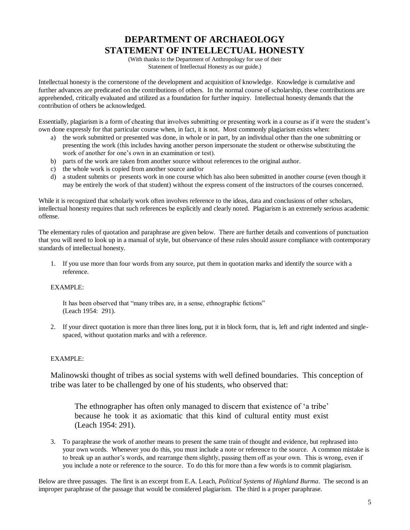# **DEPARTMENT OF ARCHAEOLOGY STATEMENT OF INTELLECTUAL HONESTY**

(With thanks to the Department of Anthropology for use of their Statement of Intellectual Honesty as our guide.)

Intellectual honesty is the cornerstone of the development and acquisition of knowledge. Knowledge is cumulative and further advances are predicated on the contributions of others. In the normal course of scholarship, these contributions are apprehended, critically evaluated and utilized as a foundation for further inquiry. Intellectual honesty demands that the contribution of others be acknowledged.

Essentially, plagiarism is a form of cheating that involves submitting or presenting work in a course as if it were the student"s own done expressly for that particular course when, in fact, it is not. Most commonly plagiarism exists when:

- a) the work submitted or presented was done, in whole or in part, by an individual other than the one submitting or presenting the work (this includes having another person impersonate the student or otherwise substituting the work of another for one's own in an examination or test).
- b) parts of the work are taken from another source without references to the original author.
- c) the whole work is copied from another source and/or
- d) a student submits or presents work in one course which has also been submitted in another course (even though it may be entirely the work of that student) without the express consent of the instructors of the courses concerned.

While it is recognized that scholarly work often involves reference to the ideas, data and conclusions of other scholars, intellectual honesty requires that such references be explicitly and clearly noted. Plagiarism is an extremely serious academic offense.

The elementary rules of quotation and paraphrase are given below. There are further details and conventions of punctuation that you will need to look up in a manual of style, but observance of these rules should assure compliance with contemporary standards of intellectual honesty.

1. If you use more than four words from any source, put them in quotation marks and identify the source with a reference.

#### EXAMPLE:

It has been observed that "many tribes are, in a sense, ethnographic fictions" (Leach 1954: 291).

2. If your direct quotation is more than three lines long, put it in block form, that is, left and right indented and singlespaced, without quotation marks and with a reference.

#### EXAMPLE:

Malinowski thought of tribes as social systems with well defined boundaries. This conception of tribe was later to be challenged by one of his students, who observed that:

The ethnographer has often only managed to discern that existence of "a tribe" because he took it as axiomatic that this kind of cultural entity must exist (Leach 1954: 291).

3. To paraphrase the work of another means to present the same train of thought and evidence, but rephrased into your own words. Whenever you do this, you must include a note or reference to the source. A common mistake is to break up an author"s words, and rearrange them slightly, passing them off as your own. This is wrong, even if you include a note or reference to the source. To do this for more than a few words is to commit plagiarism.

Below are three passages. The first is an excerpt from E.A. Leach, *Political Systems of Highland Burma*. The second is an improper paraphrase of the passage that would be considered plagiarism. The third is a proper paraphrase.